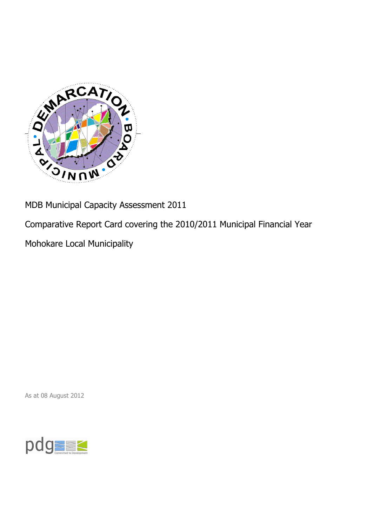

MDB Municipal Capacity Assessment 2011

Comparative Report Card covering the 2010/2011 Municipal Financial Year

Mohokare Local Municipality

As at 08 August 2012

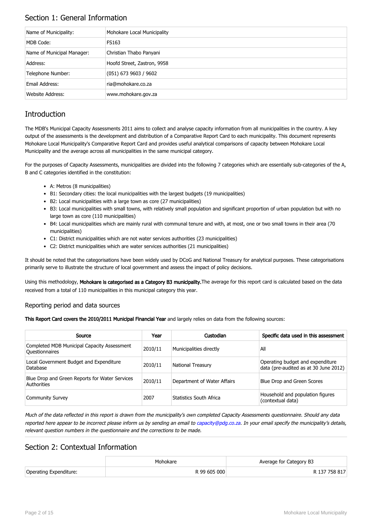## Section 1: General Information

| Name of Municipality:      | Mohokare Local Municipality |
|----------------------------|-----------------------------|
| MDB Code:                  | FS163                       |
| Name of Municipal Manager: | Christian Thabo Panyani     |
| Address:                   | Hoofd Street, Zastron, 9958 |
| Telephone Number:          | $(051)$ 673 9603 / 9602     |
| Email Address:             | ria@mohokare.co.za          |
| Website Address:           | www.mohokare.gov.za         |

## **Introduction**

The MDB's Municipal Capacity Assessments 2011 aims to collect and analyse capacity information from all municipalities in the country. A key output of the assessments is the development and distribution of a Comparative Report Card to each municipality. This document represents Mohokare Local Municipality's Comparative Report Card and provides useful analytical comparisons of capacity between Mohokare Local Municipality and the average across all municipalities in the same municipal category.

For the purposes of Capacity Assessments, municipalities are divided into the following 7 categories which are essentially sub-categories of the A, B and C categories identified in the constitution:

- A: Metros (8 municipalities)
- B1: Secondary cities: the local municipalities with the largest budgets (19 municipalities)
- B2: Local municipalities with a large town as core (27 municipalities)
- B3: Local municipalities with small towns, with relatively small population and significant proportion of urban population but with no large town as core (110 municipalities)
- B4: Local municipalities which are mainly rural with communal tenure and with, at most, one or two small towns in their area (70 municipalities)
- C1: District municipalities which are not water services authorities (23 municipalities)
- C2: District municipalities which are water services authorities (21 municipalities)

It should be noted that the categorisations have been widely used by DCoG and National Treasury for analytical purposes. These categorisations primarily serve to illustrate the structure of local government and assess the impact of policy decisions.

Using this methodology, Mohokare is categorised as a Category B3 municipality. The average for this report card is calculated based on the data received from a total of 110 municipalities in this municipal category this year.

#### Reporting period and data sources

This Report Card covers the 2010/2011 Municipal Financial Year and largely relies on data from the following sources:

| Source                                                               | Year    | Custodian                   | Specific data used in this assessment                                     |
|----------------------------------------------------------------------|---------|-----------------------------|---------------------------------------------------------------------------|
| Completed MDB Municipal Capacity Assessment<br><b>Ouestionnaires</b> | 2010/11 | Municipalities directly     | All                                                                       |
| Local Government Budget and Expenditure<br>Database                  | 2010/11 | <b>National Treasury</b>    | Operating budget and expenditure<br>data (pre-audited as at 30 June 2012) |
| Blue Drop and Green Reports for Water Services<br>Authorities        | 2010/11 | Department of Water Affairs | Blue Drop and Green Scores                                                |
| <b>Community Survey</b>                                              | 2007    | Statistics South Africa     | Household and population figures<br>(contextual data)                     |

Much of the data reflected in this report is drawn from the municipality's own completed Capacity Assessments questionnaire. Should any data reported here appear to be incorrect please inform us by sending an email to [capacity@pdg.co.za](mailto:capacity@pdg.co.za). In your email specify the municipality's details, relevant question numbers in the questionnaire and the corrections to be made.

### Section 2: Contextual Information

|                        | Mohokare     | Average for Category B3 |
|------------------------|--------------|-------------------------|
| Operating Expenditure: | R 99 605 000 | R 137 758 817           |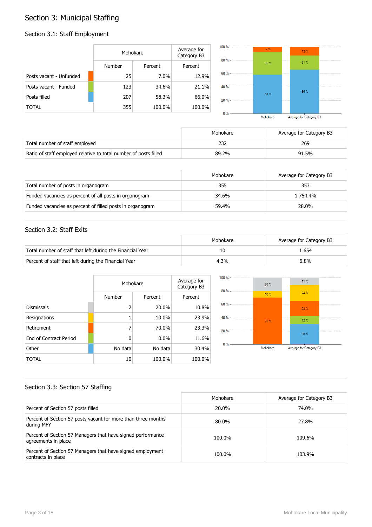## Section 3: Municipal Staffing

## Section 3.1: Staff Employment

|                         | Mohokare      |         | Average for<br>Category B3 | $100 \%$ -<br>$80% -$ | 7%      | 13.% |  |
|-------------------------|---------------|---------|----------------------------|-----------------------|---------|------|--|
|                         | <b>Number</b> | Percent | Percent                    |                       | $35 \%$ | 21%  |  |
| Posts vacant - Unfunded | 25            | 7.0%    | 12.9%                      | $60 \% -$             |         |      |  |
| Posts vacant - Funded   | 123           | 34.6%   | 21.1%                      | $40% -$               |         | 66%  |  |
| Posts filled            | 207           | 58.3%   | 66.0%                      | $20% -$               | 58 %    |      |  |
| <b>TOTAL</b>            | 355           | 100.0%  | 100.0%                     | $0\%$                 |         |      |  |

Average for Category B3 Mohokare

|                                                                  | Mohokare | Average for Category B3 |
|------------------------------------------------------------------|----------|-------------------------|
| Total number of staff employed                                   |          | 269                     |
| Ratio of staff employed relative to total number of posts filled | 89.2%    | 91.5%                   |

|                                                           | Mohokare | Average for Category B3 |
|-----------------------------------------------------------|----------|-------------------------|
| Total number of posts in organogram                       | 355      | 353                     |
| Funded vacancies as percent of all posts in organogram    | 34.6%    | 1 754.4%                |
| Funded vacancies as percent of filled posts in organogram | 59.4%    | 28.0%                   |

#### Section 3.2: Staff Exits

|                                                           | Mohokare | Average for Category B3 |
|-----------------------------------------------------------|----------|-------------------------|
| Total number of staff that left during the Financial Year |          | . 654                   |
| Percent of staff that left during the Financial Year      | 4.3%     | 6.8%                    |

|                               | Mohokare | Average for<br>Category B3 |         |
|-------------------------------|----------|----------------------------|---------|
|                               | Number   | Percent                    | Percent |
| <b>Dismissals</b>             | 2        | 20.0%                      | 10.8%   |
| Resignations                  |          | 10.0%                      | 23.9%   |
| Retirement                    | 7        | 70.0%                      | 23.3%   |
| <b>Fnd of Contract Period</b> | 0        | $0.0\%$                    | 11.6%   |
| Other                         | No data  | No data                    | 30.4%   |
| TOTAL                         | 10       | 100.0%                     | 100.0%  |



#### Section 3.3: Section 57 Staffing

|                                                                                    | Mohokare | Average for Category B3 |
|------------------------------------------------------------------------------------|----------|-------------------------|
| Percent of Section 57 posts filled                                                 | 20.0%    | 74.0%                   |
| Percent of Section 57 posts vacant for more than three months<br>during MFY        | 80.0%    | 27.8%                   |
| Percent of Section 57 Managers that have signed performance<br>agreements in place | 100.0%   | 109.6%                  |
| Percent of Section 57 Managers that have signed employment<br>contracts in place   | 100.0%   | 103.9%                  |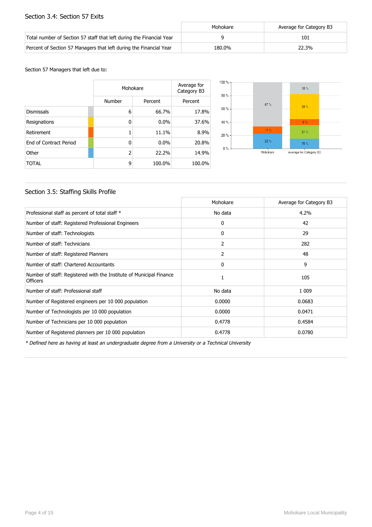#### Section 3.4: Section 57 Exits

|                                                                      | Mohokare | Average for Category B3 |
|----------------------------------------------------------------------|----------|-------------------------|
| Total number of Section 57 staff that left during the Financial Year |          | 101                     |
| Percent of Section 57 Managers that left during the Financial Year   | 180.0%   | 22.3%                   |

#### Section 57 Managers that left due to:

|                        |        | Mohokare |         |  |
|------------------------|--------|----------|---------|--|
|                        | Number | Percent  | Percent |  |
| <b>Dismissals</b>      | 6      | 66.7%    | 17.8%   |  |
| Resignations           | 0      | $0.0\%$  | 37.6%   |  |
| Retirement             |        | 11.1%    | 8.9%    |  |
| End of Contract Period | 0      | $0.0\%$  | 20.8%   |  |
| Other                  | 2      | 22.2%    | 14.9%   |  |
| <b>TOTAL</b>           | 9      | 100.0%   | 100.0%  |  |



#### Section 3.5: Staffing Skills Profile

|                                                                                        | Mohokare | Average for Category B3 |
|----------------------------------------------------------------------------------------|----------|-------------------------|
| Professional staff as percent of total staff *                                         | No data  | 4.2%                    |
| Number of staff: Registered Professional Engineers                                     | 0        | 42                      |
| Number of staff: Technologists                                                         | 0        | 29                      |
| Number of staff: Technicians                                                           | 2        | 282                     |
| Number of staff: Registered Planners                                                   | 2        | 48                      |
| Number of staff: Chartered Accountants                                                 | 0        | 9                       |
| Number of staff: Registered with the Institute of Municipal Finance<br><b>Officers</b> |          | 105                     |
| Number of staff: Professional staff                                                    | No data  | 1 0 0 9                 |
| Number of Registered engineers per 10 000 population                                   | 0.0000   | 0.0683                  |
| Number of Technologists per 10 000 population                                          | 0.0000   | 0.0471                  |
| Number of Technicians per 10 000 population                                            | 0.4778   | 0.4584                  |
| Number of Registered planners per 10 000 population                                    | 0.4778   | 0.0780                  |

\* Defined here as having at least an undergraduate degree from a University or a Technical University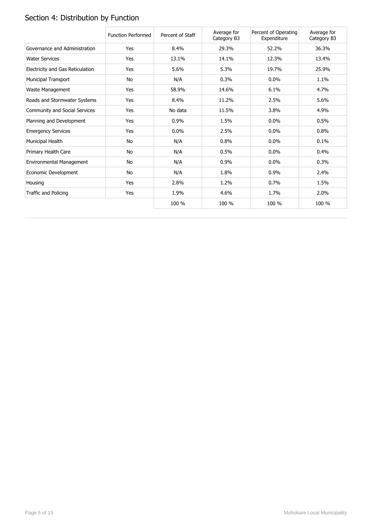# Section 4: Distribution by Function

|                                  | <b>Function Performed</b> | Percent of Staff | Average for<br>Category B3 | Percent of Operating<br>Expenditure | Average for<br>Category B3 |
|----------------------------------|---------------------------|------------------|----------------------------|-------------------------------------|----------------------------|
| Governance and Administration    | Yes                       | 8.4%             | 29.3%                      | 52.2%                               | 36.3%                      |
| <b>Water Services</b>            | Yes                       | 13.1%            | 14.1%                      | 12.3%                               | 13.4%                      |
| Electricity and Gas Reticulation | Yes                       | 5.6%             | 5.3%                       | 19.7%                               | 25.9%                      |
| <b>Municipal Transport</b>       | No                        | N/A              | 0.3%                       | 0.0%                                | 1.1%                       |
| Waste Management                 | Yes                       | 58.9%            | 14.6%                      | 6.1%                                | 4.7%                       |
| Roads and Stormwater Systems     | Yes                       | 8.4%             | 11.2%                      | 2.5%                                | 5.6%                       |
| Community and Social Services    | Yes                       | No data          | 11.5%                      | 3.8%                                | 4.9%                       |
| Planning and Development         | Yes                       | 0.9%             | 1.5%                       | $0.0\%$                             | 0.5%                       |
| <b>Emergency Services</b>        | Yes                       | 0.0%             | 2.5%                       | $0.0\%$                             | 0.8%                       |
| Municipal Health                 | No                        | N/A              | 0.8%                       | 0.0%                                | 0.1%                       |
| Primary Health Care              | No                        | N/A              | 0.5%                       | 0.0%                                | 0.4%                       |
| Environmental Management         | No                        | N/A              | 0.9%                       | $0.0\%$                             | 0.3%                       |
| Economic Development             | No                        | N/A              | 1.8%                       | 0.9%                                | 2.4%                       |
| Housing                          | Yes                       | 2.8%             | 1.2%                       | 0.7%                                | 1.5%                       |
| Traffic and Policing             | Yes                       | 1.9%             | 4.6%                       | 1.7%                                | 2.0%                       |
|                                  |                           | 100 %            | 100 %                      | 100 %                               | 100 %                      |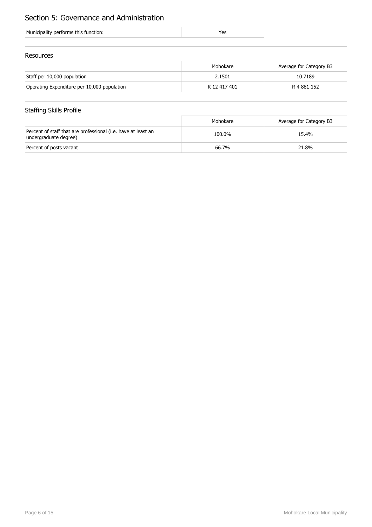## Section 5: Governance and Administration

| Municipality performs this function: |  |
|--------------------------------------|--|
|                                      |  |

#### Resources

|                                             | Mohokare     | Average for Category B3 |
|---------------------------------------------|--------------|-------------------------|
| Staff per 10,000 population                 | 2.1501       | 10.7189                 |
| Operating Expenditure per 10,000 population | R 12 417 401 | R 4 881 152             |

## Staffing Skills Profile

|                                                                                        | Mohokare | Average for Category B3 |
|----------------------------------------------------------------------------------------|----------|-------------------------|
| Percent of staff that are professional (i.e. have at least an<br>undergraduate degree) | 100.0%   | 15.4%                   |
| Percent of posts vacant                                                                | 66.7%    | 21.8%                   |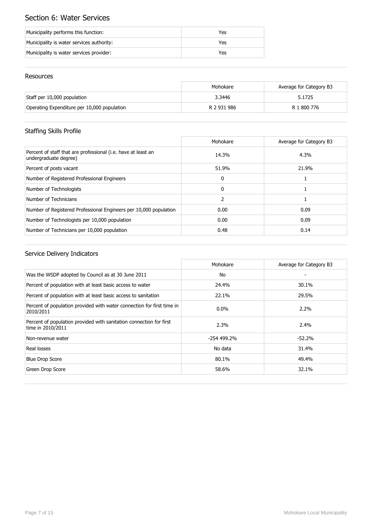## Section 6: Water Services

| Municipality performs this function:      | Yes |
|-------------------------------------------|-----|
| Municipality is water services authority: | Yes |
| Municipality is water services provider:  | Yes |

#### Resources

|                                             | Mohokare    | Average for Category B3 |
|---------------------------------------------|-------------|-------------------------|
| Staff per 10,000 population                 | 3.3446      | 5.1725                  |
| Operating Expenditure per 10,000 population | R 2 931 986 | R 1 800 776             |

## Staffing Skills Profile

|                                                                                        | Mohokare      | Average for Category B3 |
|----------------------------------------------------------------------------------------|---------------|-------------------------|
| Percent of staff that are professional (i.e. have at least an<br>undergraduate degree) | 14.3%         | 4.3%                    |
| Percent of posts vacant                                                                | 51.9%         | 21.9%                   |
| Number of Registered Professional Engineers                                            | $\mathbf{0}$  |                         |
| Number of Technologists                                                                | $\Omega$      |                         |
| Number of Technicians                                                                  | $\mathcal{P}$ |                         |
| Number of Registered Professional Engineers per 10,000 population                      | 0.00          | 0.09                    |
| Number of Technologists per 10,000 population                                          | 0.00          | 0.09                    |
| Number of Technicians per 10,000 population                                            | 0.48          | 0.14                    |

|                                                                                          | Mohokare     | Average for Category B3 |
|------------------------------------------------------------------------------------------|--------------|-------------------------|
| Was the WSDP adopted by Council as at 30 June 2011                                       | No           |                         |
| Percent of population with at least basic access to water                                | 24.4%        | 30.1%                   |
| Percent of population with at least basic access to sanitation                           | 22.1%        | 29.5%                   |
| Percent of population provided with water connection for first time in<br>2010/2011      | $0.0\%$      | $2.2\%$                 |
| Percent of population provided with sanitation connection for first<br>time in 2010/2011 | 2.3%         | 2.4%                    |
| Non-revenue water                                                                        | $-254499.2%$ | $-52.2%$                |
| Real losses                                                                              | No data      | 31.4%                   |
| <b>Blue Drop Score</b>                                                                   | 80.1%        | 49.4%                   |
| Green Drop Score                                                                         | 58.6%        | 32.1%                   |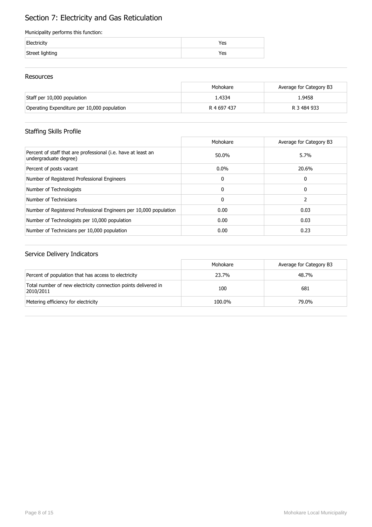# Section 7: Electricity and Gas Reticulation

#### Municipality performs this function:

| Electricity     | Yes |
|-----------------|-----|
| Street lighting | Yes |

#### Resources

|                                             | Mohokare    | Average for Category B3 |
|---------------------------------------------|-------------|-------------------------|
| Staff per 10,000 population                 | 1.4334      | 1.9458                  |
| Operating Expenditure per 10,000 population | R 4 697 437 | R 3 484 933             |

## Staffing Skills Profile

|                                                                                        | Mohokare     | Average for Category B3 |
|----------------------------------------------------------------------------------------|--------------|-------------------------|
| Percent of staff that are professional (i.e. have at least an<br>undergraduate degree) | 50.0%        | 5.7%                    |
| Percent of posts vacant                                                                | $0.0\%$      | 20.6%                   |
| Number of Registered Professional Engineers                                            | 0            | 0                       |
| Number of Technologists                                                                | 0            | 0                       |
| Number of Technicians                                                                  | $\mathbf{0}$ |                         |
| Number of Registered Professional Engineers per 10,000 population                      | 0.00         | 0.03                    |
| Number of Technologists per 10,000 population                                          | 0.00         | 0.03                    |
| Number of Technicians per 10,000 population                                            | 0.00         | 0.23                    |

|                                                                             | Mohokare | Average for Category B3 |
|-----------------------------------------------------------------------------|----------|-------------------------|
| Percent of population that has access to electricity                        | 23.7%    | 48.7%                   |
| Total number of new electricity connection points delivered in<br>2010/2011 | 100      | 681                     |
| Metering efficiency for electricity                                         | 100.0%   | 79.0%                   |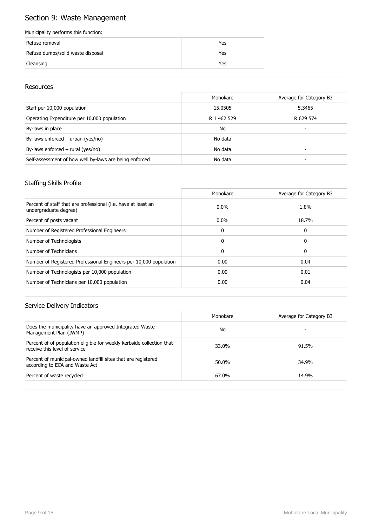## Section 9: Waste Management

#### Municipality performs this function:

| Refuse removal                    | Yes |
|-----------------------------------|-----|
| Refuse dumps/solid waste disposal | Yes |
| Cleansing                         | Yes |

#### Resources

|                                                        | Mohokare    | Average for Category B3 |
|--------------------------------------------------------|-------------|-------------------------|
| Staff per 10,000 population                            | 15.0505     | 5.3465                  |
| Operating Expenditure per 10,000 population            | R 1 462 529 | R 629 574               |
| By-laws in place                                       | <b>No</b>   |                         |
| By-laws enforced $-$ urban (yes/no)                    | No data     | -                       |
| By-laws enforced $-$ rural (yes/no)                    | No data     |                         |
| Self-assessment of how well by-laws are being enforced | No data     |                         |

#### Staffing Skills Profile

|                                                                                        | Mohokare     | Average for Category B3 |
|----------------------------------------------------------------------------------------|--------------|-------------------------|
| Percent of staff that are professional (i.e. have at least an<br>undergraduate degree) | $0.0\%$      | 1.8%                    |
| Percent of posts vacant                                                                | $0.0\%$      | 18.7%                   |
| Number of Registered Professional Engineers                                            | 0            | 0                       |
| Number of Technologists                                                                | $\Omega$     | 0                       |
| Number of Technicians                                                                  | $\mathbf{0}$ | 0                       |
| Number of Registered Professional Engineers per 10,000 population                      | 0.00         | 0.04                    |
| Number of Technologists per 10,000 population                                          | 0.00         | 0.01                    |
| Number of Technicians per 10,000 population                                            | 0.00         | 0.04                    |

|                                                                                                        | Mohokare | Average for Category B3 |
|--------------------------------------------------------------------------------------------------------|----------|-------------------------|
| Does the municipality have an approved Integrated Waste<br>Management Plan (IWMP)                      | No       |                         |
| Percent of of population eligible for weekly kerbside collection that<br>receive this level of service | 33.0%    | 91.5%                   |
| Percent of municipal-owned landfill sites that are registered<br>according to ECA and Waste Act        | 50.0%    | 34.9%                   |
| Percent of waste recycled                                                                              | 67.0%    | 14.9%                   |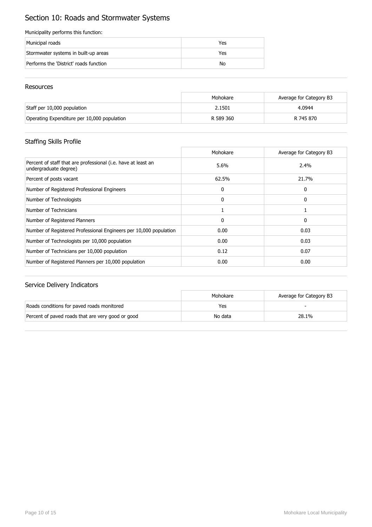## Section 10: Roads and Stormwater Systems

#### Municipality performs this function:

| Municipal roads                        | Yes |
|----------------------------------------|-----|
| Stormwater systems in built-up areas   | Yes |
| Performs the 'District' roads function | No  |

#### Resources

|                                             | Mohokare  | Average for Category B3 |
|---------------------------------------------|-----------|-------------------------|
| Staff per 10,000 population                 | 2.1501    | 4.0944                  |
| Operating Expenditure per 10,000 population | R 589 360 | R 745 870               |

## Staffing Skills Profile

|                                                                                        | Mohokare     | Average for Category B3 |
|----------------------------------------------------------------------------------------|--------------|-------------------------|
| Percent of staff that are professional (i.e. have at least an<br>undergraduate degree) | 5.6%         | 2.4%                    |
| Percent of posts vacant                                                                | 62.5%        | 21.7%                   |
| Number of Registered Professional Engineers                                            | $\mathbf{0}$ | 0                       |
| Number of Technologists                                                                | $\mathbf{0}$ | 0                       |
| Number of Technicians                                                                  |              |                         |
| Number of Registered Planners                                                          | $\mathbf{0}$ | 0                       |
| Number of Registered Professional Engineers per 10,000 population                      | 0.00         | 0.03                    |
| Number of Technologists per 10,000 population                                          | 0.00         | 0.03                    |
| Number of Technicians per 10,000 population                                            | 0.12         | 0.07                    |
| Number of Registered Planners per 10,000 population                                    | 0.00         | 0.00                    |

|                                                   | Mohokare | Average for Category B3 |
|---------------------------------------------------|----------|-------------------------|
| Roads conditions for paved roads monitored        | Yes      |                         |
| Percent of paved roads that are very good or good | No data  | 28.1%                   |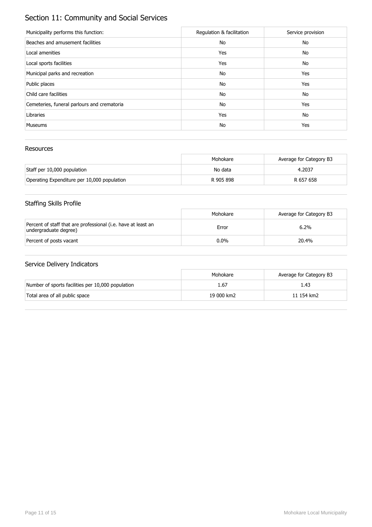## Section 11: Community and Social Services

| Municipality performs this function:        | Regulation & facilitation | Service provision |
|---------------------------------------------|---------------------------|-------------------|
| Beaches and amusement facilities            | No                        | No                |
| Local amenities                             | Yes                       | No                |
| Local sports facilities                     | Yes                       | No                |
| Municipal parks and recreation              | No                        | Yes               |
| Public places                               | No                        | Yes               |
| Child care facilities                       | No                        | No                |
| Cemeteries, funeral parlours and crematoria | No                        | Yes               |
| Libraries                                   | Yes                       | No                |
| <b>Museums</b>                              | No                        | Yes               |

#### Resources

|                                             | Mohokare  | Average for Category B3 |
|---------------------------------------------|-----------|-------------------------|
| Staff per 10,000 population                 | No data   | 4.2037                  |
| Operating Expenditure per 10,000 population | R 905 898 | R 657 658               |

## Staffing Skills Profile

|                                                                                        | Mohokare | Average for Category B3 |
|----------------------------------------------------------------------------------------|----------|-------------------------|
| Percent of staff that are professional (i.e. have at least an<br>undergraduate degree) | Error    | 6.2%                    |
| Percent of posts vacant                                                                | $0.0\%$  | 20.4%                   |

|                                                   | Mohokare   | Average for Category B3 |
|---------------------------------------------------|------------|-------------------------|
| Number of sports facilities per 10,000 population | 1.67       | 1.43                    |
| Total area of all public space                    | 19 000 km2 | 11 154 km2              |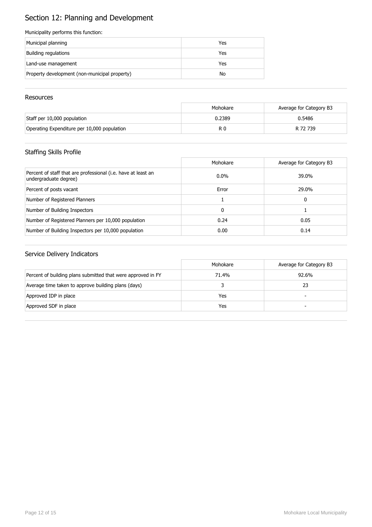## Section 12: Planning and Development

#### Municipality performs this function:

| Municipal planning                            | Yes |
|-----------------------------------------------|-----|
| Building regulations                          | Yes |
| Land-use management                           | Yes |
| Property development (non-municipal property) | No  |

#### **Resources**

|                                             | Mohokare | Average for Category B3 |
|---------------------------------------------|----------|-------------------------|
| Staff per 10,000 population                 | 0.2389   | 0.5486                  |
| Operating Expenditure per 10,000 population | R 0      | R 72 739                |

## Staffing Skills Profile

|                                                                                        | Mohokare | Average for Category B3 |
|----------------------------------------------------------------------------------------|----------|-------------------------|
| Percent of staff that are professional (i.e. have at least an<br>undergraduate degree) | $0.0\%$  | 39.0%                   |
| Percent of posts vacant                                                                | Error    | 29.0%                   |
| Number of Registered Planners                                                          |          | 0                       |
| Number of Building Inspectors                                                          | 0        |                         |
| Number of Registered Planners per 10,000 population                                    | 0.24     | 0.05                    |
| Number of Building Inspectors per 10,000 population                                    | 0.00     | 0.14                    |

|                                                              | Mohokare | Average for Category B3  |
|--------------------------------------------------------------|----------|--------------------------|
| Percent of building plans submitted that were approved in FY | 71.4%    | 92.6%                    |
| Average time taken to approve building plans (days)          |          | 23                       |
| Approved IDP in place                                        | Yes      | $\overline{\phantom{0}}$ |
| Approved SDF in place                                        | Yes      | -                        |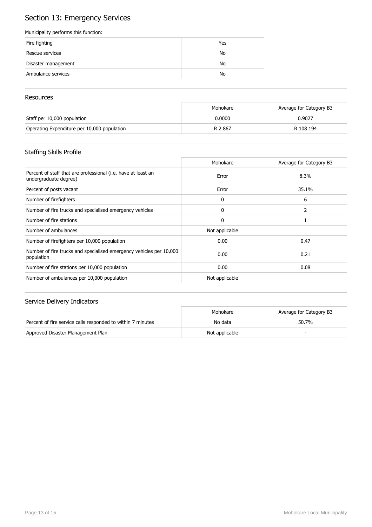## Section 13: Emergency Services

#### Municipality performs this function:

| Fire fighting       | Yes |
|---------------------|-----|
| Rescue services     | No  |
| Disaster management | No  |
| Ambulance services  | No  |

#### **Resources**

|                                             | Mohokare | Average for Category B3 |
|---------------------------------------------|----------|-------------------------|
| Staff per 10,000 population                 | 0.0000   | 0.9027                  |
| Operating Expenditure per 10,000 population | R 2867   | R 108 194               |

## Staffing Skills Profile

|                                                                                        | Mohokare       | Average for Category B3 |
|----------------------------------------------------------------------------------------|----------------|-------------------------|
| Percent of staff that are professional (i.e. have at least an<br>undergraduate degree) | Error          | 8.3%                    |
| Percent of posts vacant                                                                | Error          | 35.1%                   |
| Number of firefighters                                                                 | 0              | 6                       |
| Number of fire trucks and specialised emergency vehicles                               | 0              |                         |
| Number of fire stations                                                                | $\mathbf{0}$   |                         |
| Number of ambulances                                                                   | Not applicable |                         |
| Number of firefighters per 10,000 population                                           | 0.00           | 0.47                    |
| Number of fire trucks and specialised emergency vehicles per 10,000<br>population      | 0.00           | 0.21                    |
| Number of fire stations per 10,000 population                                          | 0.00           | 0.08                    |
| Number of ambulances per 10,000 population                                             | Not applicable |                         |

|                                                             | Mohokare       | Average for Category B3 |
|-------------------------------------------------------------|----------------|-------------------------|
| Percent of fire service calls responded to within 7 minutes | No data        | 50.7%                   |
| Approved Disaster Management Plan                           | Not applicable |                         |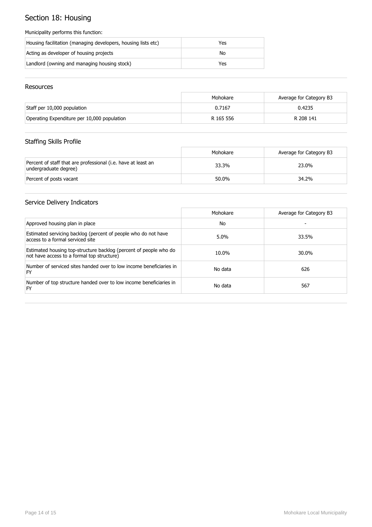## Section 18: Housing

#### Municipality performs this function:

| Housing facilitation (managing developers, housing lists etc) | Yes |
|---------------------------------------------------------------|-----|
| Acting as developer of housing projects                       | No  |
| Landlord (owning and managing housing stock)                  | Yes |

#### Resources

|                                             | Mohokare  | Average for Category B3 |
|---------------------------------------------|-----------|-------------------------|
| Staff per 10,000 population                 | 0.7167    | 0.4235                  |
| Operating Expenditure per 10,000 population | R 165 556 | R 208 141               |

## Staffing Skills Profile

|                                                                                        | Mohokare | Average for Category B3 |
|----------------------------------------------------------------------------------------|----------|-------------------------|
| Percent of staff that are professional (i.e. have at least an<br>undergraduate degree) | 33.3%    | 23.0%                   |
| Percent of posts vacant                                                                | 50.0%    | 34.2%                   |

|                                                                                                                 | Mohokare | Average for Category B3 |
|-----------------------------------------------------------------------------------------------------------------|----------|-------------------------|
| Approved housing plan in place                                                                                  | No       |                         |
| Estimated servicing backlog (percent of people who do not have<br>access to a formal serviced site              | $5.0\%$  | 33.5%                   |
| Estimated housing top-structure backlog (percent of people who do<br>not have access to a formal top structure) | 10.0%    | 30.0%                   |
| Number of serviced sites handed over to low income beneficiaries in<br>FY                                       | No data  | 626                     |
| Number of top structure handed over to low income beneficiaries in<br>FY                                        | No data  | 567                     |